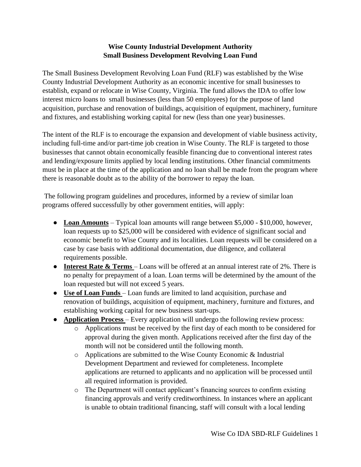## **Wise County Industrial Development Authority Small Business Development Revolving Loan Fund**

The Small Business Development Revolving Loan Fund (RLF) was established by the Wise County Industrial Development Authority as an economic incentive for small businesses to establish, expand or relocate in Wise County, Virginia. The fund allows the IDA to offer low interest micro loans to small businesses (less than 50 employees) for the purpose of land acquisition, purchase and renovation of buildings, acquisition of equipment, machinery, furniture and fixtures, and establishing working capital for new (less than one year) businesses.

The intent of the RLF is to encourage the expansion and development of viable business activity, including full-time and/or part-time job creation in Wise County. The RLF is targeted to those businesses that cannot obtain economically feasible financing due to conventional interest rates and lending/exposure limits applied by local lending institutions. Other financial commitments must be in place at the time of the application and no loan shall be made from the program where there is reasonable doubt as to the ability of the borrower to repay the loan.

The following program guidelines and procedures, informed by a review of similar loan programs offered successfully by other government entities, will apply:

- **Loan Amounts** Typical loan amounts will range between \$5,000 \$10,000, however, loan requests up to \$25,000 will be considered with evidence of significant social and economic benefit to Wise County and its localities. Loan requests will be considered on a case by case basis with additional documentation, due diligence, and collateral requirements possible.
- **Interest Rate & Terms** Loans will be offered at an annual interest rate of 2%. There is no penalty for prepayment of a loan. Loan terms will be determined by the amount of the loan requested but will not exceed 5 years.
- **Use of Loan Funds**  Loan funds are limited to land acquisition, purchase and renovation of buildings, acquisition of equipment, machinery, furniture and fixtures, and establishing working capital for new business start-ups.
- **Application Process**  Every application will undergo the following review process:
	- o Applications must be received by the first day of each month to be considered for approval during the given month. Applications received after the first day of the month will not be considered until the following month.
	- o Applications are submitted to the Wise County Economic & Industrial Development Department and reviewed for completeness. Incomplete applications are returned to applicants and no application will be processed until all required information is provided.
	- o The Department will contact applicant's financing sources to confirm existing financing approvals and verify creditworthiness. In instances where an applicant is unable to obtain traditional financing, staff will consult with a local lending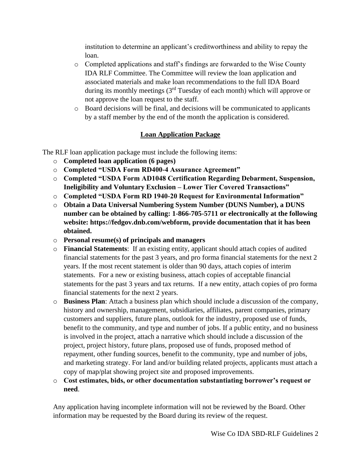institution to determine an applicant's creditworthiness and ability to repay the loan.

- o Completed applications and staff's findings are forwarded to the Wise County IDA RLF Committee. The Committee will review the loan application and associated materials and make loan recommendations to the full IDA Board during its monthly meetings (3rd Tuesday of each month) which will approve or not approve the loan request to the staff.
- o Board decisions will be final, and decisions will be communicated to applicants by a staff member by the end of the month the application is considered.

## **Loan Application Package**

The RLF loan application package must include the following items:

- o **Completed loan application (6 pages)**
- o **Completed "USDA Form RD400-4 Assurance Agreement"**
- o **Completed "USDA Form AD1048 Certification Regarding Debarment, Suspension, Ineligibility and Voluntary Exclusion – Lower Tier Covered Transactions"**
- o **Completed "USDA Form RD 1940-20 Request for Environmental Information"**
- o **Obtain a Data Universal Numbering System Number (DUNS Number), a DUNS number can be obtained by calling: 1-866-705-5711 or electronically at the following website: https://fedgov.dnb.com/webform, provide documentation that it has been obtained.**
- o **Personal resume(s) of principals and managers**
- o **Financial Statements**: If an existing entity, applicant should attach copies of audited financial statements for the past 3 years, and pro forma financial statements for the next 2 years. If the most recent statement is older than 90 days, attach copies of interim statements. For a new or existing business, attach copies of acceptable financial statements for the past 3 years and tax returns. If a new entity, attach copies of pro forma financial statements for the next 2 years.
- o **Business Plan**: Attach a business plan which should include a discussion of the company, history and ownership, management, subsidiaries, affiliates, parent companies, primary customers and suppliers, future plans, outlook for the industry, proposed use of funds, benefit to the community, and type and number of jobs. If a public entity, and no business is involved in the project, attach a narrative which should include a discussion of the project, project history, future plans, proposed use of funds, proposed method of repayment, other funding sources, benefit to the community, type and number of jobs, and marketing strategy. For land and/or building related projects, applicants must attach a copy of map/plat showing project site and proposed improvements.
- o **Cost estimates, bids, or other documentation substantiating borrower's request or need**.

Any application having incomplete information will not be reviewed by the Board. Other information may be requested by the Board during its review of the request.